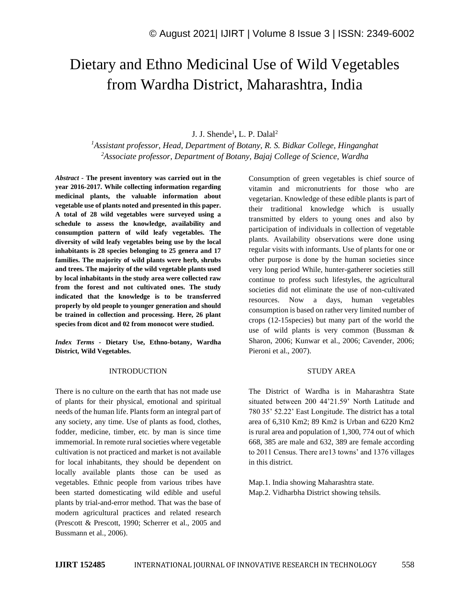# Dietary and Ethno Medicinal Use of Wild Vegetables from Wardha District, Maharashtra, India

# J. J. Shende<sup>1</sup>, L. P. Dalal<sup>2</sup>

*<sup>1</sup>Assistant professor, Head, Department of Botany, R. S. Bidkar College, Hinganghat <sup>2</sup>Associate professor, Department of Botany, Bajaj College of Science, Wardha*

*Abstract -* **The present inventory was carried out in the year 2016-2017. While collecting information regarding medicinal plants, the valuable information about vegetable use of plants noted and presented in this paper. A total of 28 wild vegetables were surveyed using a schedule to assess the knowledge, availability and consumption pattern of wild leafy vegetables. The diversity of wild leafy vegetables being use by the local inhabitants is 28 species belonging to 25 genera and 17 families. The majority of wild plants were herb, shrubs and trees. The majority of the wild vegetable plants used by local inhabitants in the study area were collected raw from the forest and not cultivated ones. The study indicated that the knowledge is to be transferred properly by old people to younger generation and should be trained in collection and processing. Here, 26 plant species from dicot and 02 from monocot were studied.**

*Index Terms -* **Dietary Use, Ethno-botany, Wardha District, Wild Vegetables.**

#### INTRODUCTION

There is no culture on the earth that has not made use of plants for their physical, emotional and spiritual needs of the human life. Plants form an integral part of any society, any time. Use of plants as food, clothes, fodder, medicine, timber, etc. by man is since time immemorial. In remote rural societies where vegetable cultivation is not practiced and market is not available for local inhabitants, they should be dependent on locally available plants those can be used as vegetables. Ethnic people from various tribes have been started domesticating wild edible and useful plants by trial-and-error method. That was the base of modern agricultural practices and related research (Prescott & Prescott, 1990; Scherrer et al., 2005 and Bussmann et al., 2006).

Consumption of green vegetables is chief source of vitamin and micronutrients for those who are vegetarian. Knowledge of these edible plants is part of their traditional knowledge which is usually transmitted by elders to young ones and also by participation of individuals in collection of vegetable plants. Availability observations were done using regular visits with informants. Use of plants for one or other purpose is done by the human societies since very long period While, hunter-gatherer societies still continue to profess such lifestyles, the agricultural societies did not eliminate the use of non-cultivated resources. Now a days, human vegetables consumption is based on rather very limited number of crops (12-15species) but many part of the world the use of wild plants is very common (Bussman & Sharon, 2006; Kunwar et al., 2006; Cavender, 2006; Pieroni et al., 2007).

#### STUDY AREA

The District of Wardha is in Maharashtra State situated between 200 44'21.59' North Latitude and 780 35' 52.22' East Longitude. The district has a total area of 6,310 Km2; 89 Km2 is Urban and 6220 Km2 is rural area and population of 1,300, 774 out of which 668, 385 are male and 632, 389 are female according to 2011 Census. There are13 towns' and 1376 villages in this district.

Map.1. India showing Maharashtra state. Map.2. Vidharbha District showing tehsils.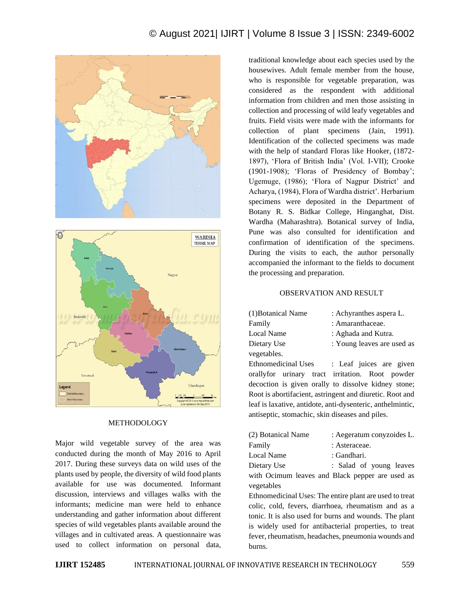# © August 2021| IJIRT | Volume 8 Issue 3 | ISSN: 2349-6002





#### METHODOLOGY

Major wild vegetable survey of the area was conducted during the month of May 2016 to April 2017. During these surveys data on wild uses of the plants used by people, the diversity of wild food plants available for use was documented. Informant discussion, interviews and villages walks with the informants; medicine man were held to enhance understanding and gather information about different species of wild vegetables plants available around the villages and in cultivated areas. A questionnaire was used to collect information on personal data,

traditional knowledge about each species used by the housewives. Adult female member from the house, who is responsible for vegetable preparation, was considered as the respondent with additional information from children and men those assisting in collection and processing of wild leafy vegetables and fruits. Field visits were made with the informants for collection of plant specimens (Jain, 1991). Identification of the collected specimens was made with the help of standard Floras like Hooker, (1872- 1897), 'Flora of British India' (Vol. I-VII); Crooke (1901-1908); 'Floras of Presidency of Bombay'; Ugemuge, (1986); 'Flora of Nagpur District' and Acharya, (1984), Flora of Wardha district'. Herbarium specimens were deposited in the Department of Botany R. S. Bidkar College, Hinganghat, Dist. Wardha (Maharashtra). Botanical survey of India, Pune was also consulted for identification and confirmation of identification of the specimens. During the visits to each, the author personally accompanied the informant to the fields to document the processing and preparation.

#### OBSERVATION AND RESULT

| (1) Botanical Name         | : Achyranthes aspera L.                                    |  |  |  |
|----------------------------|------------------------------------------------------------|--|--|--|
| Family                     | : Amaranthaceae.                                           |  |  |  |
| Local Name                 | : Aghada and Kutra.                                        |  |  |  |
| Dietary Use                | : Young leaves are used as                                 |  |  |  |
| vegetables.                |                                                            |  |  |  |
| <b>Ethnomedicinal Uses</b> | : Leaf juices are given                                    |  |  |  |
|                            | orallyfor urinary tract irritation. Root powder            |  |  |  |
|                            | decoction is given orally to dissolve kidney stone;        |  |  |  |
|                            | Root is abortifacient, astringent and diuretic. Root and   |  |  |  |
|                            | leaf is laxative, antidote, anti-dysenteric, anthelmintic, |  |  |  |

| (2) Botanical Name | : Aegeratum conyzoides L.                       |
|--------------------|-------------------------------------------------|
| Family             | : Asteraceae.                                   |
| Local Name         | : Gandhari.                                     |
| Dietary Use        | : Salad of young leaves                         |
|                    | with Ocimum leaves and Black pepper are used as |
| vegetables         |                                                 |

antiseptic, stomachic, skin diseases and piles.

Ethnomedicinal Uses: The entire plant are used to treat colic, cold, fevers, diarrhoea, rheumatism and as a tonic. It is also used for burns and wounds. The plant is widely used for antibacterial properties, to treat fever, rheumatism, headaches, pneumonia wounds and burns.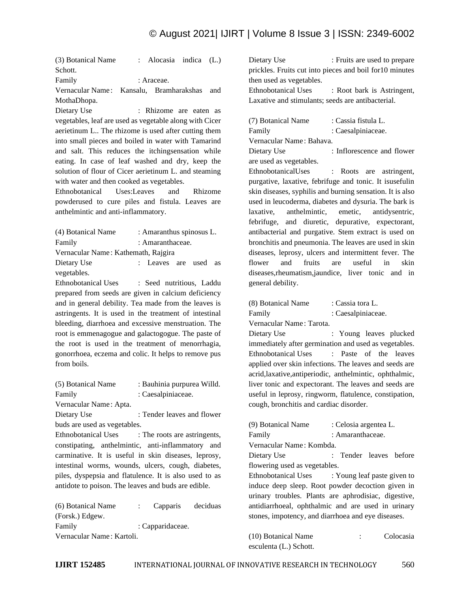(3) Botanical Name : Alocasia indica (L.) Schott. Family : Araceae. Vernacular Name: Kansalu, Bramharakshas and

MothaDhopa.

Dietary Use : Rhizome are eaten as vegetables, leaf are used as vegetable along with Cicer aerietinum L.. The rhizome is used after cutting them into small pieces and boiled in water with Tamarind and salt. This reduces the itchingsensation while eating. In case of leaf washed and dry, keep the solution of flour of Cicer aerietinum L. and steaming with water and then cooked as vegetables.

Ethnobotanical Uses:Leaves and Rhizome powderused to cure piles and fistula. Leaves are anthelmintic and anti-inflammatory.

| (4) Botanical Name                  | : Amaranthus spinosus L. |  |    |
|-------------------------------------|--------------------------|--|----|
| Family                              | : Amaranthaceae.         |  |    |
| Vernacular Name: Kathemath, Rajgira |                          |  |    |
| Dietary Use                         | : Leaves are used        |  | as |
| vegetables.                         |                          |  |    |

Ethnobotanical Uses : Seed nutritious, Laddu prepared from seeds are given in calcium deficiency and in general debility. Tea made from the leaves is astringents. It is used in the treatment of intestinal bleeding, diarrhoea and excessive menstruation. The root is emmenagogue and galactogogue. The paste of the root is used in the treatment of menorrhagia, gonorrhoea, eczema and colic. It helps to remove pus from boils.

| (5) Botanical Name           | : Bauhinia purpurea Willd. |
|------------------------------|----------------------------|
| Family                       | : Caesalpiniaceae.         |
| Vernacular Name: Apta.       |                            |
| Dietary Use                  | : Tender leaves and flower |
| buds are used as vegetables. |                            |

Ethnobotanical Uses : The roots are astringents, constipating, anthelmintic, anti-inflammatory and carminative. It is useful in skin diseases, leprosy, intestinal worms, wounds, ulcers, cough, diabetes, piles, dyspepsia and flatulence. It is also used to as antidote to poison. The leaves and buds are edible.

(6) Botanical Name : Capparis deciduas (Forsk.) Edgew. Family : Capparidaceae. Vernacular Name : Kartoli.

Dietary Use : Fruits are used to prepare prickles. Fruits cut into pieces and boil for10 minutes then used as vegetables. Ethnobotanical Uses : Root bark is Astringent, Laxative and stimulants; seeds are antibacterial.

| (7) Botanical Name                                                                                                                  | : Cassia fistula L.                                       |
|-------------------------------------------------------------------------------------------------------------------------------------|-----------------------------------------------------------|
| Family                                                                                                                              | : Caesalpiniaceae.                                        |
| Vernacular Name: Bahava.                                                                                                            |                                                           |
| Dietary Use                                                                                                                         | : Inflorescence and flower                                |
| are used as vegetables.                                                                                                             |                                                           |
| EthnobotanicalUses                                                                                                                  | : Roots are astringent,                                   |
|                                                                                                                                     | purgative, laxative, febrifuge and tonic. It is useful in |
|                                                                                                                                     | skin diseases, syphilis and burning sensation. It is also |
|                                                                                                                                     | used in leucoderma, diabetes and dysuria. The bark is     |
| $\mathbf{1}$ and $\mathbf{1}$ and $\mathbf{1}$ and $\mathbf{1}$ and $\mathbf{1}$ and $\mathbf{1}$ and $\mathbf{1}$ and $\mathbf{1}$ |                                                           |

laxative, anthelmintic, emetic, antidysentric, febrifuge, and diuretic, depurative, expectorant, antibacterial and purgative. Stem extract is used on bronchitis and pneumonia. The leaves are used in skin diseases, leprosy, ulcers and intermittent fever. The flower and fruits are useful in skin diseases,rheumatism,jaundice, liver tonic and in general debility.

| (8) Botanical Name | : Cassia tora L.   |
|--------------------|--------------------|
| Family             | : Caesalpiniaceae. |

Vernacular Name : Tarota.

Dietary Use : Young leaves plucked immediately after germination and used as vegetables. Ethnobotanical Uses : Paste of the leaves applied over skin infections. The leaves and seeds are acrid,laxative,antiperiodic, anthelmintic, ophthalmic, liver tonic and expectorant. The leaves and seeds are useful in leprosy, ringworm, flatulence, constipation, cough, bronchitis and cardiac disorder.

| (9) Botanical Name                                   | : Celosia argentea L.  |                 |
|------------------------------------------------------|------------------------|-----------------|
| Family                                               | : Amaranthaceae.       |                 |
| Vernacular Name: Kombda.                             |                        |                 |
| Dietary Use                                          | : Tender leaves before |                 |
| flowering used as vegetables.                        |                        |                 |
| Ethnobotanical Uses : Young leaf paste given to      |                        |                 |
| induce deep sleep. Root powder decoction given in    |                        |                 |
| urinary troubles. Plants are aphrodisiac, digestive, |                        |                 |
| antidiarrhoeal, ophthalmic and are used in urinary   |                        |                 |
| stones, impotency, and diarrhoea and eye diseases.   |                        |                 |
|                                                      |                        |                 |
| $(10)$ $\overline{D}$ $\overline{I}$ $(13)$          |                        | $\sim$ 1 $\sim$ |

(10) Botanical Name : Colocasia esculenta (L.) Schott.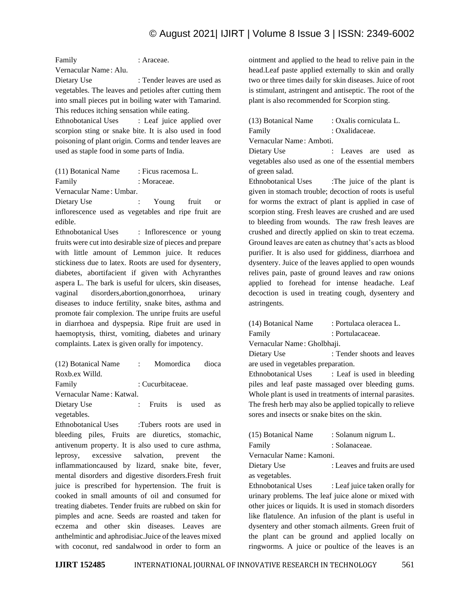# © August 2021| IJIRT | Volume 8 Issue 3 | ISSN: 2349-6002

Family : Araceae. Vernacular Name : Alu. Dietary Use : Tender leaves are used as vegetables. The leaves and petioles after cutting them into small pieces put in boiling water with Tamarind. This reduces itching sensation while eating.

Ethnobotanical Uses : Leaf juice applied over scorpion sting or snake bite. It is also used in food poisoning of plant origin. Corms and tender leaves are used as staple food in some parts of India.

| (11) Botanical Name | : Ficus racemosa L. |
|---------------------|---------------------|
| Family              | : Moraceae.         |

Vernacular Name : Umbar.

Dietary Use : Young fruit or inflorescence used as vegetables and ripe fruit are edible.

Ethnobotanical Uses : Inflorescence or young fruits were cut into desirable size of pieces and prepare with little amount of Lemmon juice. It reduces stickiness due to latex. Roots are used for dysentery, diabetes, abortifacient if given with Achyranthes aspera L. The bark is useful for ulcers, skin diseases, vaginal disorders,abortion,gonorrhoea, urinary diseases to induce fertility, snake bites, asthma and promote fair complexion. The unripe fruits are useful in diarrhoea and dyspepsia. Ripe fruit are used in haemoptysis, thirst, vomiting, diabetes and urinary complaints. Latex is given orally for impotency.

(12) Botanical Name : Momordica dioca Roxb.ex Willd.

Family : Cucurbitaceae.

Vernacular Name : Katwal.

Dietary Use : Fruits is used as vegetables.

Ethnobotanical Uses :Tubers roots are used in bleeding piles, Fruits are diuretics, stomachic, antivenum property. It is also used to cure asthma, leprosy, excessive salvation, prevent the inflammationcaused by lizard, snake bite, fever, mental disorders and digestive disorders.Fresh fruit juice is prescribed for hypertension. The fruit is cooked in small amounts of oil and consumed for treating diabetes. Tender fruits are rubbed on skin for pimples and acne. Seeds are roasted and taken for eczema and other skin diseases. Leaves are anthelmintic and aphrodisiac.Juice of the leaves mixed with coconut, red sandalwood in order to form an

ointment and applied to the head to relive pain in the head.Leaf paste applied externally to skin and orally two or three times daily for skin diseases. Juice of root is stimulant, astringent and antiseptic. The root of the plant is also recommended for Scorpion sting.

(13) Botanical Name : Oxalis corniculata L. Family : Oxalidaceae. Vernacular Name : Amboti. Dietary Use : Leaves are used as

vegetables also used as one of the essential members of green salad.

Ethnobotanical Uses :The juice of the plant is given in stomach trouble; decoction of roots is useful for worms the extract of plant is applied in case of scorpion sting. Fresh leaves are crushed and are used to bleeding from wounds. The raw fresh leaves are crushed and directly applied on skin to treat eczema. Ground leaves are eaten as chutney that's acts as blood purifier. It is also used for giddiness, diarrhoea and dysentery. Juice of the leaves applied to open wounds relives pain, paste of ground leaves and raw onions applied to forehead for intense headache. Leaf decoction is used in treating cough, dysentery and astringents.

(14) Botanical Name : Portulaca oleracea L. Family : Portulacaceae. Vernacular Name : Gholbhaji. Dietary Use : Tender shoots and leaves are used in vegetables preparation. Ethnobotanical Uses : Leaf is used in bleeding piles and leaf paste massaged over bleeding gums. Whole plant is used in treatments of internal parasites. The fresh herb may also be applied topically to relieve sores and insects or snake bites on the skin.

| (15) Botanical Name      | : Solanum nigrum L. |  |  |
|--------------------------|---------------------|--|--|
| Family                   | : Solanaceae.       |  |  |
| Vernacular Name: Kamoni. |                     |  |  |

Dietary Use : Leaves and fruits are used as vegetables.

Ethnobotanical Uses : Leaf juice taken orally for urinary problems. The leaf juice alone or mixed with other juices or liquids. It is used in stomach disorders like flatulence. An infusion of the plant is useful in dysentery and other stomach ailments. Green fruit of the plant can be ground and applied locally on ringworms. A juice or poultice of the leaves is an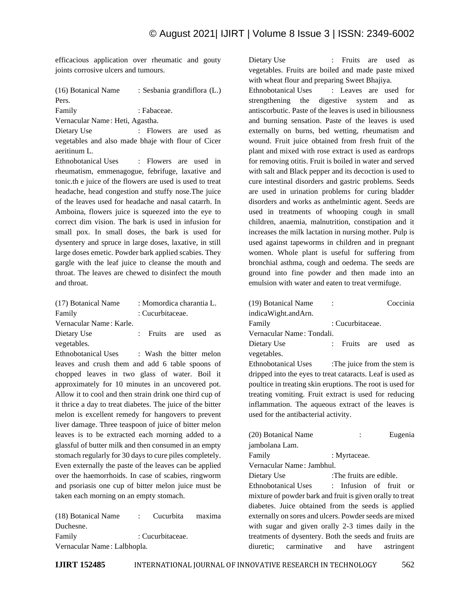efficacious application over rheumatic and gouty joints corrosive ulcers and tumours.

(16) Botanical Name : Sesbania grandiflora (L.) Pers. Family : Fabaceae.

Vernacular Name : Heti, Agastha.

Dietary Use : Flowers are used as vegetables and also made bhaje with flour of Cicer aeritinum L.

Ethnobotanical Uses : Flowers are used in rheumatism, emmenagogue, febrifuge, laxative and tonic.th e juice of the flowers are used is used to treat headache, head congestion and stuffy nose.The juice of the leaves used for headache and nasal catarrh. In Amboina, flowers juice is squeezed into the eye to correct dim vision. The bark is used in infusion for small pox. In small doses, the bark is used for dysentery and spruce in large doses, laxative, in still large doses emetic. Powder bark applied scabies. They gargle with the leaf juice to cleanse the mouth and throat. The leaves are chewed to disinfect the mouth and throat.

| (17) Botanical Name     | : Momordica charantia L. |                  |  |      |    |
|-------------------------|--------------------------|------------------|--|------|----|
| Family                  |                          | : Cucurbitaceae. |  |      |    |
| Vernacular Name: Karle. |                          |                  |  |      |    |
| Dietary Use             |                          | : Fruits are     |  | used | as |

vegetables.

Ethnobotanical Uses : Wash the bitter melon leaves and crush them and add 6 table spoons of chopped leaves in two glass of water. Boil it approximately for 10 minutes in an uncovered pot. Allow it to cool and then strain drink one third cup of it thrice a day to treat diabetes. The juice of the bitter melon is excellent remedy for hangovers to prevent liver damage. Three teaspoon of juice of bitter melon leaves is to be extracted each morning added to a glassful of butter milk and then consumed in an empty stomach regularly for 30 days to cure piles completely. Even externally the paste of the leaves can be applied over the haemorrhoids. In case of scabies, ringworm and psoriasis one cup of bitter melon juice must be taken each morning on an empty stomach.

(18) Botanical Name : Cucurbita maxima Duchesne. Family : Cucurbitaceae. Vernacular Name : Lalbhopla.

Dietary Use : Fruits are used as vegetables. Fruits are boiled and made paste mixed with wheat flour and preparing Sweet Bhajiya.

Ethnobotanical Uses : Leaves are used for strengthening the digestive system and as antiscorbutic. Paste of the leaves is used in biliousness and burning sensation. Paste of the leaves is used externally on burns, bed wetting, rheumatism and wound. Fruit juice obtained from fresh fruit of the plant and mixed with rose extract is used as eardrops for removing otitis. Fruit is boiled in water and served with salt and Black pepper and its decoction is used to cure intestinal disorders and gastric problems. Seeds are used in urination problems for curing bladder disorders and works as anthelmintic agent. Seeds are used in treatments of whooping cough in small children, anaemia, malnutrition, constipation and it increases the milk lactation in nursing mother. Pulp is used against tapeworms in children and in pregnant women. Whole plant is useful for suffering from bronchial asthma, cough and oedema. The seeds are ground into fine powder and then made into an emulsion with water and eaten to treat vermifuge.

| (19) Botanical Name                                       |                            | Coccinia |    |
|-----------------------------------------------------------|----------------------------|----------|----|
| indicaWight.andArn.                                       |                            |          |    |
| Family                                                    | : Cucurbitaceae.           |          |    |
| Vernacular Name: Tondali.                                 |                            |          |    |
| Dietary Use                                               | : Fruits are               | used     | as |
| vegetables.                                               |                            |          |    |
| Ethnobotanical Uses                                       | The juice from the stem is |          |    |
| dripped into the eyes to treat cataracts. Leaf is used as |                            |          |    |
| poultice in treating skin eruptions. The root is used for |                            |          |    |
| treating vomiting. Fruit extract is used for reducing     |                            |          |    |
| inflammation. The aqueous extract of the leaves is        |                            |          |    |
| used for the antibacterial activity.                      |                            |          |    |

| (20) Botanical Name       | Eugenia<br>$\mathbb{R}^{\mathbb{Z}}$                      |
|---------------------------|-----------------------------------------------------------|
| jambolana Lam.            |                                                           |
| Family                    | : Myrtaceae.                                              |
| Vernacular Name: Jambhul. |                                                           |
| Dietary Use               | :The fruits are edible.                                   |
|                           | Ethnobotanical Uses : Infusion of fruit or                |
|                           | mixture of powder bark and fruit is given orally to treat |
|                           | diabetes. Juice obtained from the seeds is applied        |
|                           | externally on sores and ulcers. Powder seeds are mixed    |
|                           | with sugar and given orally 2-3 times daily in the        |
|                           | treatments of dysentery. Both the seeds and fruits are    |
|                           | diuretic; carminative and have astringent                 |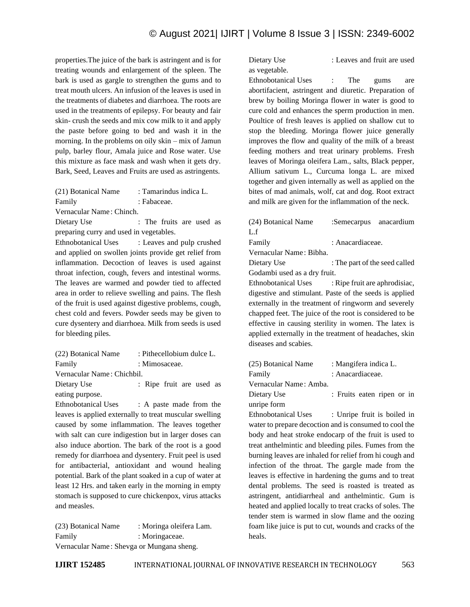properties.The juice of the bark is astringent and is for treating wounds and enlargement of the spleen. The bark is used as gargle to strengthen the gums and to treat mouth ulcers. An infusion of the leaves is used in the treatments of diabetes and diarrhoea. The roots are used in the treatments of epilepsy. For beauty and fair skin- crush the seeds and mix cow milk to it and apply the paste before going to bed and wash it in the morning. In the problems on oily skin – mix of Jamun pulp, barley flour, Amala juice and Rose water. Use this mixture as face mask and wash when it gets dry. Bark, Seed, Leaves and Fruits are used as astringents.

| (21) Botanical Name | : Tamarindus indica L. |
|---------------------|------------------------|
| Family              | : Fabaceae.            |

Vernacular Name : Chinch.

Dietary Use : The fruits are used as preparing curry and used in vegetables.

Ethnobotanical Uses : Leaves and pulp crushed and applied on swollen joints provide get relief from inflammation. Decoction of leaves is used against throat infection, cough, fevers and intestinal worms. The leaves are warmed and powder tied to affected area in order to relieve swelling and pains. The flesh of the fruit is used against digestive problems, cough, chest cold and fevers. Powder seeds may be given to cure dysentery and diarrhoea. Milk from seeds is used for bleeding piles.

| (22) Botanical Name        | : Pithecellobium dulce L. |
|----------------------------|---------------------------|
| Family                     | : Mimosaceae.             |
| Vernacular Name: Chichbil. |                           |

Dietary Use : Ripe fruit are used as eating purpose.

Ethnobotanical Uses : A paste made from the leaves is applied externally to treat muscular swelling caused by some inflammation. The leaves together with salt can cure indigestion but in larger doses can also induce abortion. The bark of the root is a good remedy for diarrhoea and dysentery. Fruit peel is used for antibacterial, antioxidant and wound healing potential. Bark of the plant soaked in a cup of water at least 12 Hrs. and taken early in the morning in empty stomach is supposed to cure chickenpox, virus attacks and measles.

(23) Botanical Name : Moringa oleifera Lam. Family : Moringaceae. Vernacular Name : Shevga or Mungana sheng.

Dietary Use : Leaves and fruit are used as vegetable.

Ethnobotanical Uses : The gums are abortifacient, astringent and diuretic. Preparation of

brew by boiling Moringa flower in water is good to cure cold and enhances the sperm production in men. Poultice of fresh leaves is applied on shallow cut to stop the bleeding. Moringa flower juice generally improves the flow and quality of the milk of a breast feeding mothers and treat urinary problems. Fresh leaves of Moringa oleifera Lam., salts, Black pepper, Allium sativum L., Curcuma longa L. are mixed together and given internally as well as applied on the bites of mad animals, wolf, cat and dog. Root extract and milk are given for the inflammation of the neck.

| (24) Botanical Name          | :Semecarpus anacardium        |  |
|------------------------------|-------------------------------|--|
| L.f                          |                               |  |
| Family                       | : Anacardiaceae.              |  |
| Vernacular Name: Bibha.      |                               |  |
| Dietary Use                  | : The part of the seed called |  |
| Godambi used as a dry fruit. |                               |  |

Ethnobotanical Uses : Ripe fruit are aphrodisiac, digestive and stimulant. Paste of the seeds is applied externally in the treatment of ringworm and severely chapped feet. The juice of the root is considered to be effective in causing sterility in women. The latex is applied externally in the treatment of headaches, skin diseases and scabies.

| (25) Botanical Name    | : Mangifera indica L.      |  |
|------------------------|----------------------------|--|
| Family                 | : Anacardiaceae.           |  |
| Vernacular Name: Amba. |                            |  |
| Dietary Use            | : Fruits eaten ripen or in |  |
| unripe form            |                            |  |
|                        |                            |  |

Ethnobotanical Uses : Unripe fruit is boiled in water to prepare decoction and is consumed to cool the body and heat stroke endocarp of the fruit is used to treat anthelmintic and bleeding piles. Fumes from the burning leaves are inhaled for relief from hi cough and infection of the throat. The gargle made from the leaves is effective in hardening the gums and to treat dental problems. The seed is roasted is treated as astringent, antidiarrheal and anthelmintic. Gum is heated and applied locally to treat cracks of soles. The tender stem is warmed in slow flame and the oozing foam like juice is put to cut, wounds and cracks of the heals.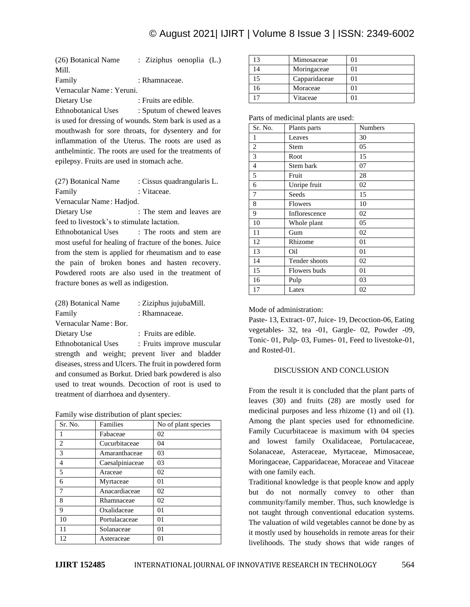| (26) Botanical Name                                    | : Ziziphus oenoplia (L.)                               |  |  |
|--------------------------------------------------------|--------------------------------------------------------|--|--|
| Mill.                                                  |                                                        |  |  |
| Family                                                 | : Rhamnaceae.                                          |  |  |
| Vernacular Name: Yeruni.                               |                                                        |  |  |
| Dietary Use                                            | : Fruits are edible.                                   |  |  |
| Ethnobotanical Uses                                    | : Sputum of chewed leaves                              |  |  |
|                                                        | is used for dressing of wounds. Stem bark is used as a |  |  |
|                                                        | mouthwash for sore throats, for dysentery and for      |  |  |
|                                                        | inflammation of the Uterus. The roots are used as      |  |  |
| anthelmintic. The roots are used for the treatments of |                                                        |  |  |
| epilepsy. Fruits are used in stomach ache.             |                                                        |  |  |

| (27) Botanical Name                                     | : Cissus quadrangularis L. |  |
|---------------------------------------------------------|----------------------------|--|
| Family                                                  | : Vitaceae.                |  |
| Vernacular Name: Hadjod.                                |                            |  |
| Dietary Use                                             | : The stem and leaves are  |  |
| feed to livestock's to stimulate lactation.             |                            |  |
| <b>Ethnobotanical Uses</b>                              | : The roots and stem are   |  |
| most useful for healing of fracture of the bones. Juice |                            |  |
| from the stem is applied for rheumatism and to ease     |                            |  |

from the stem is applied for rheumatism and to ease the pain of broken bones and hasten recovery. Powdered roots are also used in the treatment of fracture bones as well as indigestion.

| (28) Botanical Name        | : Ziziphus jujubaMill.                         |  |  |
|----------------------------|------------------------------------------------|--|--|
| Family                     | : Rhamnaceae.                                  |  |  |
| Vernacular Name: Bor.      |                                                |  |  |
| Dietary Use                | : Fruits are edible.                           |  |  |
| <b>Ethnobotanical Uses</b> | : Fruits improve muscular                      |  |  |
|                            | strength and weight; prevent liver and bladder |  |  |

diseases, stress and Ulcers. The fruit in powdered form and consumed as Borkut. Dried bark powdered is also used to treat wounds. Decoction of root is used to treatment of diarrhoea and dysentery.

|  |  |  |  |  |  | Family wise distribution of plant species: |
|--|--|--|--|--|--|--------------------------------------------|
|--|--|--|--|--|--|--------------------------------------------|

| Sr. No.        | Families        | No of plant species |
|----------------|-----------------|---------------------|
|                | Fabaceae        | 02                  |
| $\overline{2}$ | Cucurbitaceae   | 04                  |
| 3              | Amaranthaceae   | 03                  |
| 4              | Caesalpiniaceae | 03                  |
| 5              | Araceae         | 02                  |
| 6              | Myrtaceae       | 01                  |
| 7              | Anacardiaceae   | 02                  |
| 8              | Rhamnaceae      | 02                  |
| 9              | Oxalidaceae     | 01                  |
| 10             | Portulacaceae   | 01                  |
| 11             | Solanaceae      | 01                  |
| 12             | Asteraceae      | 01                  |

| ا 3            | Mimosaceae    |  |
|----------------|---------------|--|
| $\overline{4}$ | Moringaceae   |  |
| 15             | Capparidaceae |  |
| 6              | Moraceae      |  |
|                | Vitaceae      |  |

Parts of medicinal plants are used:

| Sr. No.        | Plants parts   | <b>Numbers</b> |
|----------------|----------------|----------------|
| 1              | Leaves         | 30             |
| $\overline{c}$ | Stem           | 05             |
| 3              | Root           | 15             |
| $\overline{4}$ | Stem bark      | 07             |
| 5              | Fruit          | 28             |
| 6              | Unripe fruit   | 02             |
| 7              | Seeds          | 15             |
| 8              | <b>Flowers</b> | 10             |
| 9              | Inflorescence  | 02             |
| 10             | Whole plant    | 05             |
| 11             | Gum            | 02             |
| 12             | Rhizome        | 01             |
| 13             | Oil            | 01             |
| 14             | Tender shoots  | 02             |
| 15             | Flowers buds   | 01             |
| 16             | Pulp           | 03             |
| 17             | Latex          | 02             |

Mode of administration:

Paste- 13, Extract- 07, Juice- 19, Decoction-06, Eating vegetables- 32, tea -01, Gargle- 02, Powder -09, Tonic- 01, Pulp- 03, Fumes- 01, Feed to livestoke-01, and Rosted-01.

# DISCUSSION AND CONCLUSION

From the result it is concluded that the plant parts of leaves (30) and fruits (28) are mostly used for medicinal purposes and less rhizome (1) and oil (1). Among the plant species used for ethnomedicine. Family Cucurbitaceae is maximum with 04 species and lowest family Oxalidaceae, Portulacaceae, Solanaceae, Asteraceae, Myrtaceae, Mimosaceae, Moringaceae, Capparidaceae, Moraceae and Vitaceae with one family each.

Traditional knowledge is that people know and apply but do not normally convey to other than community/family member. Thus, such knowledge is not taught through conventional education systems. The valuation of wild vegetables cannot be done by as it mostly used by households in remote areas for their livelihoods. The study shows that wide ranges of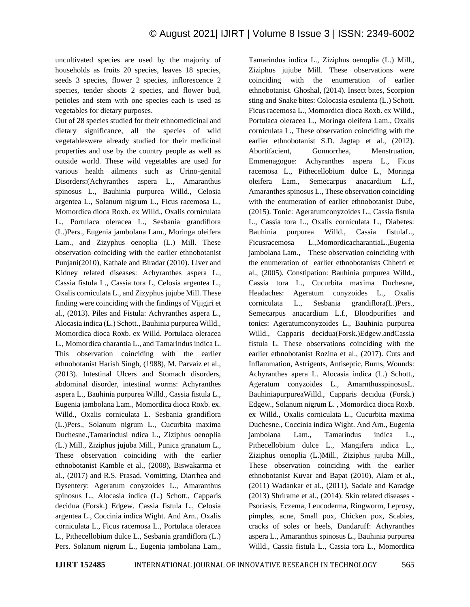uncultivated species are used by the majority of households as fruits 20 species, leaves 18 species, seeds 3 species, flower 2 species, inflorescence 2 species, tender shoots 2 species, and flower bud, petioles and stem with one species each is used as vegetables for dietary purposes.

Out of 28 species studied for their ethnomedicinal and dietary significance, all the species of wild vegetableswere already studied for their medicinal properties and use by the country people as well as outside world. These wild vegetables are used for various health ailments such as Urino-genital Disorders:(Achyranthes aspera L., Amaranthus spinosus L., Bauhinia purpurea Willd., Celosia argentea L., Solanum nigrum L., Ficus racemosa L., Momordica dioca Roxb. ex Willd., Oxalis corniculata L., Portulaca oleracea L., Sesbania grandiflora (L.)Pers., Eugenia jambolana Lam., Moringa oleifera Lam., and Zizyphus oenoplia (L.) Mill. These observation coinciding with the earlier ethnobotanist Punjani(2010), Kathale and Biradar (2010). Liver and Kidney related diseases: Achyranthes aspera L., Cassia fistula L., Cassia tora L, Celosia argentea L., Oxalis corniculata L., and Zizyphus jujube Mill. These finding were coinciding with the findings of Vijigiri et al., (2013). Piles and Fistula: Achyranthes aspera L., Alocasia indica (L.) Schott., Bauhinia purpurea Willd., Momordica dioca Roxb. ex Willd. Portulaca oleracea L., Momordica charantia L., and Tamarindus indica L. This observation coinciding with the earlier ethnobotanist Harish Singh, (1988), M. Parvaiz et al., (2013). Intestinal Ulcers and Stomach disorders, abdominal disorder, intestinal worms: Achyranthes aspera L., Bauhinia purpurea Willd., Cassia fistula L., Eugenia jambolana Lam., Momordica dioca Roxb. ex. Willd., Oxalis corniculata L. Sesbania grandiflora (L.)Pers., Solanum nigrum L., Cucurbita maxima Duchesne.,Tamarindusi ndica L., Ziziphus oenoplia (L.) Mill., Ziziphus jujuba Mill., Punica granatum L., These observation coinciding with the earlier ethnobotanist Kamble et al., (2008), Biswakarma et al., (2017) and R.S. Prasad. Vomitting, Diarrhea and Dysentery: Ageratum conyzoides L., Amaranthus spinosus L., Alocasia indica (L.) Schott., Capparis decidua (Forsk.) Edgew. Cassia fistula L., Celosia argentea L., Coccinia indica Wight. And Arn., Oxalis corniculata L., Ficus racemosa L., Portulaca oleracea L., Pithecellobium dulce L., Sesbania grandiflora (L.) Pers. Solanum nigrum L., Eugenia jambolana Lam.,

Tamarindus indica L., Ziziphus oenoplia (L.) Mill., Ziziphus jujube Mill. These observations were coinciding with the enumeration of earlier ethnobotanist. Ghoshal, (2014). Insect bites, Scorpion sting and Snake bites: Colocasia esculenta (L.) Schott. Ficus racemosa L., Momordica dioca Roxb. ex Willd., Portulaca oleracea L., Moringa oleifera Lam., Oxalis corniculata L., These observation coinciding with the earlier ethnobotanist S.D. Jagtap et al., (2012). Abortifacient, Gonnorrhea, Menstruation, Emmenagogue: Achyranthes aspera L., Ficus racemosa L., Pithecellobium dulce L., Moringa oleifera Lam., Semecarpus anacardium L.f., Amaranthes spinosus L., These observation coinciding with the enumeration of earlier ethnobotanist Dube, (2015). Tonic: Ageratumconyzoides L., Cassia fistula L., Cassia tora L., Oxalis corniculata L., Diabetes: Bauhinia purpurea Willd., Cassia fistulaL., Ficusracemosa L.,MomordicacharantiaL.,Eugenia jambolana Lam., These observation coinciding with the enumeration of earlier ethnobotanists Chhetri et al., (2005). Constipation: Bauhinia purpurea Willd., Cassia tora L., Cucurbita maxima Duchesne, Headaches: Ageratum conyzoides L., Oxalis corniculata L., Sesbania grandiflora(L.)Pers., Semecarpus anacardium L.f., Bloodpurifies and tonics: Ageratumconyzoides L., Bauhinia purpurea Willd., Capparis decidua(Forsk.)Edgew.andCassia fistula L. These observations coinciding with the earlier ethnobotanist Rozina et al., (2017). Cuts and Inflammation, Astrigents, Antiseptic, Burns, Wounds: Achyranthes apera L. Alocasia indica (L.) Schott., Ageratum conyzoides L., AmarnthusspinosusL. BauhiniapurpureaWilld., Capparis decidua (Forsk.) Edgew., Solanum nigrum L. , Momordica dioca Roxb. ex Willd., Oxalis corniculata L., Cucurbita maxima Duchesne., Coccinia indica Wight. And Arn., Eugenia jambolana Lam., Tamarindus indica L., Pithecellobium dulce L., Mangifera indica L., Ziziphus oenoplia (L.)Mill., Ziziphus jujuba Mill., These observation coinciding with the earlier ethnobotanist Kuvar and Bapat (2010), Alam et al., (2011) Wadankar et al., (2011), Sadale and Karadge (2013) Shrirame et al., (2014). Skin related diseases - Psoriasis, Eczema, Leucoderma, Ringworm, Leprosy, pimples, acne, Small pox, Chicken pox, Scabies, cracks of soles or heels, Dandaruff: Achyranthes aspera L., Amaranthus spinosus L., Bauhinia purpurea Willd., Cassia fistula L., Cassia tora L., Momordica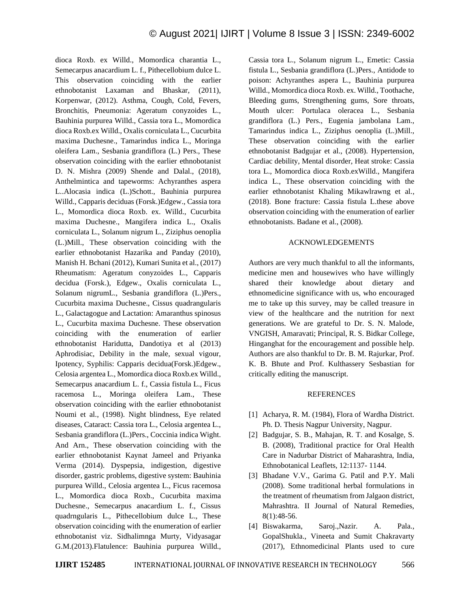dioca Roxb. ex Willd., Momordica charantia L., Semecarpus anacardium L. f., Pithecellobium dulce L. This observation coinciding with the earlier ethnobotanist Laxaman and Bhaskar, (2011), Korpenwar, (2012). Asthma, Cough, Cold, Fevers, Bronchitis, Pneumonia: Ageratum conyzoides L., Bauhinia purpurea Willd., Cassia tora L., Momordica dioca Roxb.ex Willd., Oxalis corniculata L., Cucurbita maxima Duchesne., Tamarindus indica L., Moringa oleifera Lam., Sesbania grandiflora (L.) Pers., These observation coinciding with the earlier ethnobotanist D. N. Mishra (2009) Shende and Dalal., (2018), Anthelmintica and tapeworms: Achyranthes aspera L..Alocasia indica (L.)Schott., Bauhinia purpurea Willd., Capparis deciduas (Forsk.)Edgew., Cassia tora L., Momordica dioca Roxb. ex. Willd., Cucurbita maxima Duchesne., Mangifera indica L., Oxalis corniculata L., Solanum nigrum L., Ziziphus oenoplia (L.)Mill., These observation coinciding with the earlier ethnobotanist Hazarika and Panday (2010), Manish H. Bchani (2012), Kumari Sunita et al., (2017) Rheumatism: Ageratum conyzoides L., Capparis decidua (Forsk.), Edgew., Oxalis corniculata L., Solanum nigrumL., Sesbania grandiflora (L.)Pers., Cucurbita maxima Duchesne., Cissus quadrangularis L., Galactagogue and Lactation: Amaranthus spinosus L., Cucurbita maxima Duchesne. These observation coinciding with the enumeration of earlier ethnobotanist Haridutta, Dandotiya et al (2013) Aphrodisiac, Debility in the male, sexual vigour, Ipotency, Syphilis: Capparis decidua(Forsk.)Edgew., Celosia argentea L., Momordica dioca Roxb.ex Willd., Semecarpus anacardium L. f., Cassia fistula L., Ficus racemosa L., Moringa oleifera Lam., These observation coinciding with the earlier ethnobotanist Noumi et al., (1998). Night blindness, Eye related diseases, Cataract: Cassia tora L., Celosia argentea L., Sesbania grandiflora (L.)Pers., Coccinia indica Wight. And Arn., These observation coinciding with the earlier ethnobotanist Kaynat Jameel and Priyanka Verma (2014). Dyspepsia, indigestion, digestive disorder, gastric problems, digestive system: Bauhinia purpurea Willd., Celosia argentea L., Ficus racemosa L., Momordica dioca Roxb., Cucurbita maxima Duchesne., Semecarpus anacardium L. f., Cissus quadrngularis L., Pithecellobium dulce L., These observation coinciding with the enumeration of earlier ethnobotanist viz. Sidhalimnga Murty, Vidyasagar G.M.(2013).Flatulence: Bauhinia purpurea Willd., Cassia tora L., Solanum nigrum L., Emetic: Cassia fistula L., Sesbania grandiflora (L.)Pers., Antidode to poison: Achyranthes aspera L., Bauhinia purpurea Willd., Momordica dioca Roxb. ex. Willd., Toothache, Bleeding gums, Strengthening gums, Sore throats, Mouth ulcer: Portulaca oleracea L., Sesbania grandiflora (L.) Pers., Eugenia jambolana Lam., Tamarindus indica L., Ziziphus oenoplia (L.)Mill., These observation coinciding with the earlier ethnobotanist Badgujar et al., (2008). Hypertension, Cardiac debility, Mental disorder, Heat stroke: Cassia tora L., Momordica dioca Roxb.exWilld., Mangifera indica L., These observation coinciding with the earlier ethnobotanist Khaling Mikawlrawng et al., (2018). Bone fracture: Cassia fistula L.these above observation coinciding with the enumeration of earlier ethnobotanists. Badane et al., (2008).

# ACKNOWLEDGEMENTS

Authors are very much thankful to all the informants, medicine men and housewives who have willingly shared their knowledge about dietary and ethnomedicine significance with us, who encouraged me to take up this survey, may be called treasure in view of the healthcare and the nutrition for next generations. We are grateful to Dr. S. N. Malode, VNGISH, Amaravati; Principal, R. S. Bidkar College, Hinganghat for the encouragement and possible help. Authors are also thankful to Dr. B. M. Rajurkar, Prof. K. B. Bhute and Prof. Kulthassery Sesbastian for critically editing the manuscript.

# **REFERENCES**

- [1] Acharya, R. M. (1984), Flora of Wardha District. Ph. D. Thesis Nagpur University, Nagpur.
- [2] Badgujar, S. B., Mahajan, R. T. and Kosalge, S. B. (2008), Traditional practice for Oral Health Care in Nadurbar District of Maharashtra, India, Ethnobotanical Leaflets, 12:1137- 1144.
- [3] Bhadane V.V., Garima G. Patil and P.Y. Mali (2008). Some traditional herbal formulations in the treatment of rheumatism from Jalgaon district, Mahrashtra. II Journal of Natural Remedies, 8(1):48-56.
- [4] Biswakarma, Saroj.,Nazir. A. Pala., GopalShukla., Vineeta and Sumit Chakravarty (2017), Ethnomedicinal Plants used to cure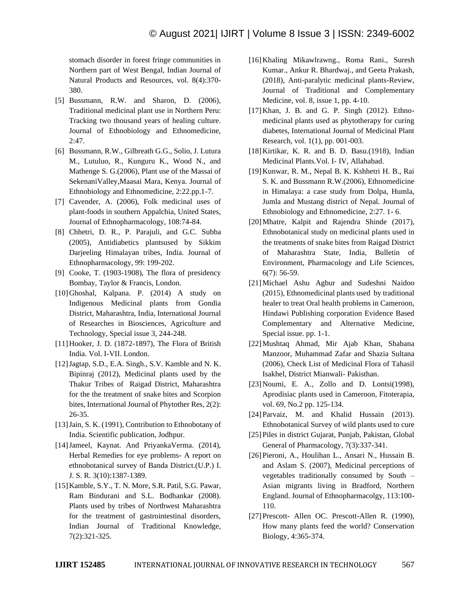stomach disorder in forest fringe communities in Northern part of West Bengal, Indian Journal of Natural Products and Resources, vol. 8(4):370- 380.

- [5] Bussmann, R.W. and Sharon, D. (2006), Traditional medicinal plant use in Northern Peru: Tracking two thousand years of healing culture. Journal of Ethnobiology and Ethnomedicine, 2:47.
- [6] Bussmann, R.W., Gilbreath G.G., Solio, J. Lutura M., Lutuluo, R., Kunguru K., Wood N., and Mathenge S. G.(2006), Plant use of the Massai of SekenaniValley,Maasai Mara, Kenya. Journal of Ethnobiology and Ethnomedicine, 2:22.pp.1-7.
- [7] Cavender, A. (2006), Folk medicinal uses of plant-foods in southern Appalchia, United States, Journal of Ethnopharmacology, 108:74-84.
- [8] Chhetri, D. R., P. Parajuli, and G.C. Subba (2005), Antidiabetics plantsused by Sikkim Darjeeling Himalayan tribes, India. Journal of Ethnopharmacology, 99: 199-202.
- [9] Cooke, T. (1903-1908), The flora of presidency Bombay, Taylor & Francis, London.
- [10]Ghoshal, Kalpana. P. (2014) A study on Indigenous Medicinal plants from Gondia District, Maharashtra, India, International Journal of Researches in Biosciences, Agriculture and Technology, Special issue 3, 244-248.
- [11]Hooker, J. D. (1872-1897), The Flora of British India. Vol. I-VII. London.
- [12]Jagtap, S.D., E.A. Singh., S.V. Kamble and N. K. Bipinraj (2012), Medicinal plants used by the Thakur Tribes of Raigad District, Maharashtra for the the treatment of snake bites and Scorpion bites, International Journal of Phytother Res, 2(2): 26-35.
- [13] Jain, S. K. (1991), Contribution to Ethnobotany of India. Scientific publication, Jodhpur.
- [14]Jameel, Kaynat. And PriyankaVerma. (2014), Herbal Remedies for eye problems- A report on ethnobotanical survey of Banda District.(U.P.) I. J. S. R. 3(10):1387-1389.
- [15]Kamble, S.Y., T. N. More, S.R. Patil, S.G. Pawar, Ram Bindurani and S.L. Bodhankar (2008). Plants used by tribes of Northwest Maharashtra for the treatment of gastrointestinal disorders, Indian Journal of Traditional Knowledge, 7(2):321-325.
- [16]Khaling Mikawlrawng., Roma Rani., Suresh Kumar., Ankur R. Bhardwaj., and Geeta Prakash, (2018), Anti-paralytic medicinal plants-Review, Journal of Traditional and Complementary Medicine, vol. 8, issue 1, pp. 4-10.
- [17]Khan, J. B. and G. P. Singh (2012). Ethnomedicinal plants used as phytotherapy for curing diabetes, International Journal of Medicinal Plant Research, vol. 1(1), pp. 001-003.
- [18]Kirtikar, K. R. and B. D. Basu.(1918), Indian Medicinal Plants.Vol. I- IV, Allahabad.
- [19]Kunwar, R. M., Nepal B. K. Kshhetri H. B., Rai S. K. and Bussmann R.W.(2006), Ethnomedicine in Himalaya: a case study from Dolpa, Humla, Jumla and Mustang district of Nepal. Journal of Ethnobiology and Ethnomedicine, 2:27. 1- 6.
- [20]Mhatre, Kalpit and Rajendra Shinde (2017), Ethnobotanical study on medicinal plants used in the treatments of snake bites from Raigad District of Maharashtra State, India, Bulletin of Environment, Pharmacology and Life Sciences, 6(7): 56-59.
- [21]Michael Ashu Agbur and Sudeshni Naidoo (2015), Ethnomedicinal plants used by traditional healer to treat Oral health problems in Cameroon, Hindawi Publishing corporation Evidence Based Complementary and Alternative Medicine, Special issue. pp. 1-1.
- [22]Mushtaq Ahmad, Mir Ajab Khan, Shabana Manzoor, Muhammad Zafar and Shazia Sultana (2006), Check List of Medicinal Flora of Tahasil Isakhel, District Mianwali- Pakisthan.
- [23]Noumi, E. A., Zollo and D. Lontsi(1998), Aprodisiac plants used in Cameroon, Fitoterapia, vol. 69, No.2 pp. 125-134.
- [24] Parvaiz, M. and Khalid Hussain (2013). Ethnobotanical Survey of wild plants used to cure
- [25]Piles in district Gujarat, Punjab, Pakistan, Global General of Pharmacology, 7(3):337-341.
- [26]Pieroni, A., Houlihan L., Ansari N., Hussain B. and Aslam S. (2007), Medicinal perceptions of vegetables traditionally consumed by South – Asian migrants living in Bradford, Northern England. Journal of Ethnopharmacolgy, 113:100- 110.
- [27] Prescott- Allen OC. Prescott-Allen R. (1990), How many plants feed the world? Conservation Biology, 4:365-374.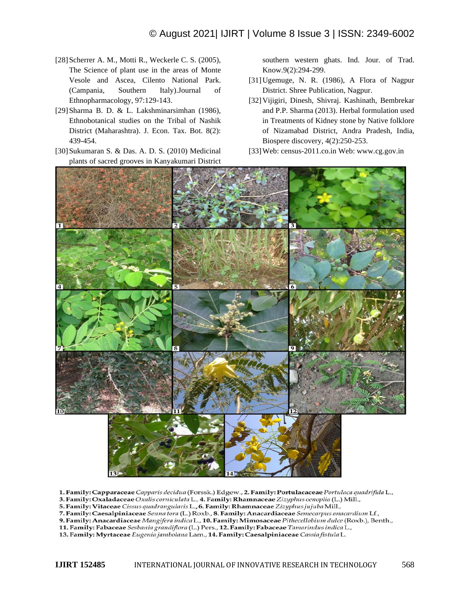- [28] Scherrer A. M., Motti R., Weckerle C. S. (2005), The Science of plant use in the areas of Monte Vesole and Ascea, Cilento National Park. (Campania, Southern Italy).Journal of Ethnopharmacology, 97:129-143.
- [29]Sharma B. D. & L. Lakshminarsimhan (1986), Ethnobotanical studies on the Tribal of Nashik District (Maharashtra). J. Econ. Tax. Bot. 8(2): 439-454.
- [30] Sukumaran S. & Das. A. D. S. (2010) Medicinal plants of sacred grooves in Kanyakumari District

southern western ghats. Ind. Jour. of Trad. Know.9(2):294-299.

- [31]Ugemuge, N. R. (1986), A Flora of Nagpur District. Shree Publication, Nagpur.
- [32]Vijigiri, Dinesh, Shivraj. Kashinath, Bembrekar and P.P. Sharma (2013). Herbal formulation used in Treatments of Kidney stone by Native folklore of Nizamabad District, Andra Pradesh, India, Biospere discovery, 4(2):250-253.
- [33]Web: census-2011.co.in Web: www.cg.gov.in



1. Family: Capparaceae Capparis decidua (Forssk.) Edgew., 2. Family: Portulacaceae Portulaca quadrifida L.,

3. Family: Oxaladaceae Oxalis corniculata L., 4. Family: Rhamnaceae Zizyphus oenoplia (L.) Mill.,

5. Family: Vitaceae Cissus quadrangularis L., 6. Family: Rhamnaceae Zizyphus jujuba Mill.,

7. Family: Caesalpiniaceae Senna tora (L.) Roxb., 8. Family: Anacardiaceae Semecarpus anacardium Lf.,

9. Family: Anacardiaceae Mangifera indica L., 10. Family: Mimosaceae Pithecellobium dulce (Roxb.), Benth.,

11. Family: Fabaceae Sesbania grandiflora (L.) Pers., 12. Family: Fabaceae Tamarindus indica L.,

13. Family: Myrtaceae Eugenia jambolana Lam., 14. Family: Caesalpiniaceae Cassia fistula L.

**IJIRT 152485** INTERNATIONAL JOURNAL OF INNOVATIVE RESEARCH IN TECHNOLOGY 568